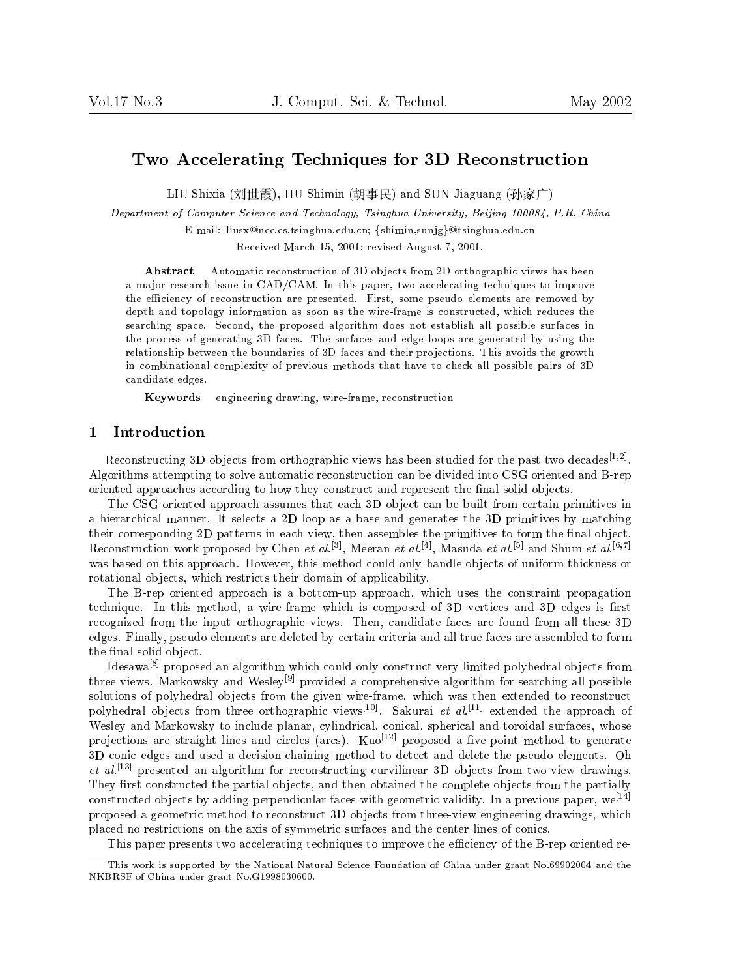# Two Accelerating Techniques for 3D Reconstruction

LIU SHIMIN (), HU SHIMIN SUN JIAGUANG (- UNI) SHIMIN SUN SUNG SUNG (- UNI) AND A

Department of Computer Science and Technology, Tsinghua University, Beijing 100084, P.R. China

E-mail: liusx@ncc.cs.tsinghua.edu.cn; {shimin,sunjg}@tsinghua.edu.cn

Received March 15, 2001; revised August 7, 2001.

Abstract Automatic reconstruction of 3D objects from 2D orthographic views has been a major research issue in CAD/CAM. In this paper, two accelerating techniques to improve the efficiency of reconstruction are presented. First, some pseudo elements are removed by depth and topology information as soon as the wire-frame is constructed, which reduces the searching space. Second, the proposed algorithm does not establish all possible surfaces in the process of generating 3D faces. The surfaces and edge loops are generated by using the relationship between the boundaries of 3D faces and their projections. This avoids the growth in combinational complexity of previous methods that have to check all possible pairs of 3D candidate edges.

Keywords engineering drawing, wire-frame, reconstruction

## 1 Introduction

Reconstructing 3D objects from orthographic views has been studied for the past two decades<sup>[1,2]</sup>. Algorithms attempting to solve automatic reconstruction can be divided into CSG oriented and B-rep oriented approaches according to how they construct and represent the final solid objects.

The CSG oriented approach assumes that each 3D object can be built from certain primitives in a hierarchical manner. It selects a 2D loop as a base and generates the 3D primitives by matching their corresponding 2D patterns in each view, then assembles the primitives to form the final object. Reconstruction work proposed by Chen et  $a \iota$ . Weeran et  $a \iota$ . Wasuda et  $a \iota$ . And Shum et  $a \iota$ . was based on this approach. However, this method could only handle objects of uniform thickness or rotational objects, which restricts their domain of applicability.

The B-rep oriented approach is a bottom-up approach, which uses the constraint propagation technique. In this method, a wire-frame which is composed of 3D vertices and 3D edges is first recognized from the input orthographic views. Then, candidate faces are found from all these 3D edges. Finally, pseudo elements are deleted by certain criteria and all true faces are assembled to form the final solid object.

Idesawa<sup>[8]</sup> proposed an algorithm which could only construct very limited polyhedral objects from three views. Markowsky and Wesley<sup>[9]</sup> provided a comprehensive algorithm for searching all possible solutions of polyhedral objects from the given wire-frame, which was then extended to reconstruct polyhedral ob jects from three orthographic views[10] . Sakurai et al. [11] extended the approach of Wesley and Markowsky to include planar, cylindrical, conical, spherical and toroidal surfaces, whose projections are straight lines and circles (arcs).  $Kuo<sup>[12]</sup>$  proposed a five-point method to generate 3D conic edges and used a decision-chaining method to detect and delete the pseudo elements. Oh et al. [13] presented an algorithm for reconstructing curvilinear 3D ob jects from two-view drawings. They first constructed the partial objects, and then obtained the complete objects from the partially constructed objects by adding perpendicular faces with geometric validity. In a previous paper, wet t proposed a geometric method to reconstruct 3D objects from three-view engineering drawings, which placed no restrictions on the axis of symmetric surfaces and the center lines of conics.

This paper presents two accelerating techniques to improve the efficiency of the B-rep oriented re-

This work is supported by the National Natural Science Foundation of China under grant No.69902004 and the NKBRSF of China under grant No.G1998030600.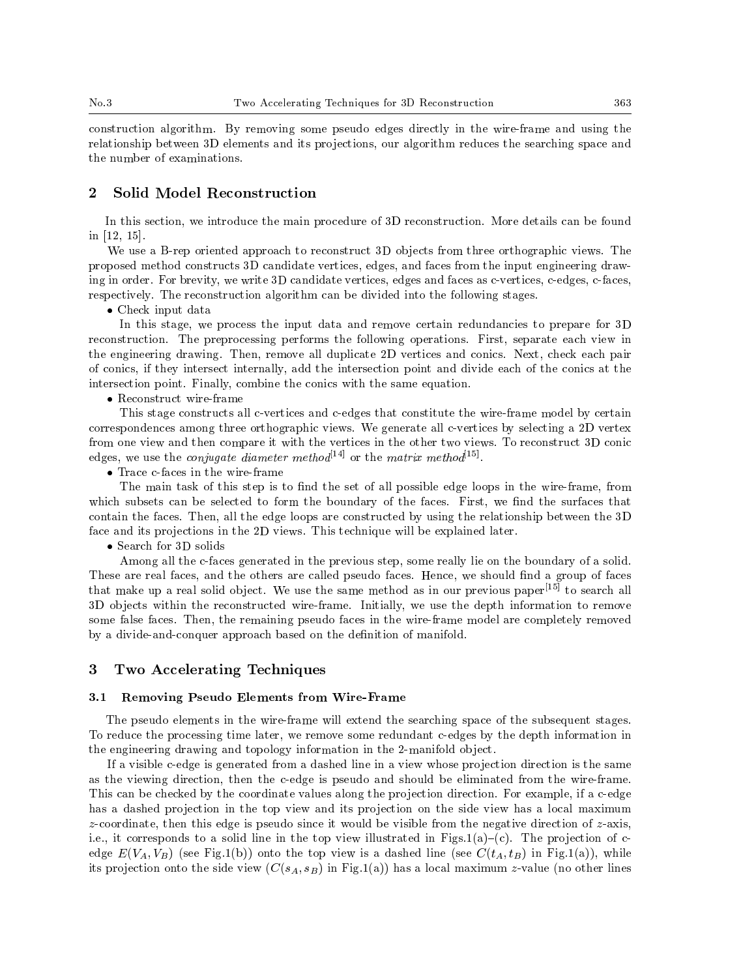construction algorithm. By removing some pseudo edges directly in the wire-frame and using the relationship between 3D elements and its projections, our algorithm reduces the searching space and the number of examinations.

## 2 Solid Model Reconstruction

In this section, we introduce the main procedure of 3D reconstruction. More details can be found in [12, 15].

We use a B-rep oriented approach to reconstruct 3D objects from three orthographic views. The proposed method constructs 3D candidate vertices, edges, and faces from the input engineering drawing in order. For brevity, we write 3D candidate vertices, edges and faces as c-vertices, c-edges, c-faces, respectively. The reconstruction algorithm can be divided into the following stages.

Check input data

In this stage, we process the input data and remove certain redundancies to prepare for 3D reconstruction. The preprocessing performs the following operations. First, separate each view in the engineering drawing. Then, remove all duplicate 2D vertices and conics. Next, check each pair of conics, if they intersect internally, add the intersection point and divide each of the conics at the intersection point. Finally, combine the conics with the same equation.

Reconstruct wire-frame

This stage constructs all c-vertices and c-edges that constitute the wire-frame model by certain correspondences among three orthographic views. We generate all c-vertices by selecting a 2D vertex from one view and then compare it with the vertices in the other two views. To reconstruct 3D conic edges, we use the *conjugate diameter method*<sup>[14]</sup> or the *matrix method*<sup>[15]</sup>.

Trace c-faces in the wire-frame

The main task of this step is to find the set of all possible edge loops in the wire-frame, from which subsets can be selected to form the boundary of the faces. First, we find the surfaces that contain the faces. Then, all the edge loops are constructed by using the relationship between the 3D face and its projections in the 2D views. This technique will be explained later.

Search for 3D solids

Among all the c-faces generated in the previous step, some really lie on the boundary of a solid. These are real faces, and the others are called pseudo faces. Hence, we should find a group of faces that make up a real solid object. We use the same method as in our previous paper<sup>[15]</sup> to search all 3D objects within the reconstructed wire-frame. Initially, we use the depth information to remove some false faces. Then, the remaining pseudo faces in the wire-frame model are completely removed by a divide-and-conquer approach based on the definition of manifold.

#### 3 Two Accelerating Techniques

### 3.1 Removing Pseudo Elements from Wire-Frame

The pseudo elements in the wire-frame will extend the searching space of the subsequent stages. To reduce the processing time later, we remove some redundant c-edges by the depth information in the engineering drawing and topology information in the 2-manifold ob ject.

If a visible c-edge is generated from a dashed line in a view whose projection direction is the same as the viewing direction, then the c-edge is pseudo and should be eliminated from the wire-frame. This can be checked by the coordinate values along the projection direction. For example, if a c-edge has a dashed projection in the top view and its projection on the side view has a local maximum z-coordinate, then this edge is pseudo since it would be visible from the negative direction of z-axis, i.e., it corresponds to a solid line in the top view illustrated in Figs.1(a)-(c). The projection of cedge  $E(V_A, V_B)$  (see Fig.1(b)) onto the top view is a dashed line (see  $C(t_A, t_B)$  in Fig.1(a)), while its projection onto the side view  $(C(s_A, s_B)$  in Fig.1(a)) has a local maximum z-value (no other lines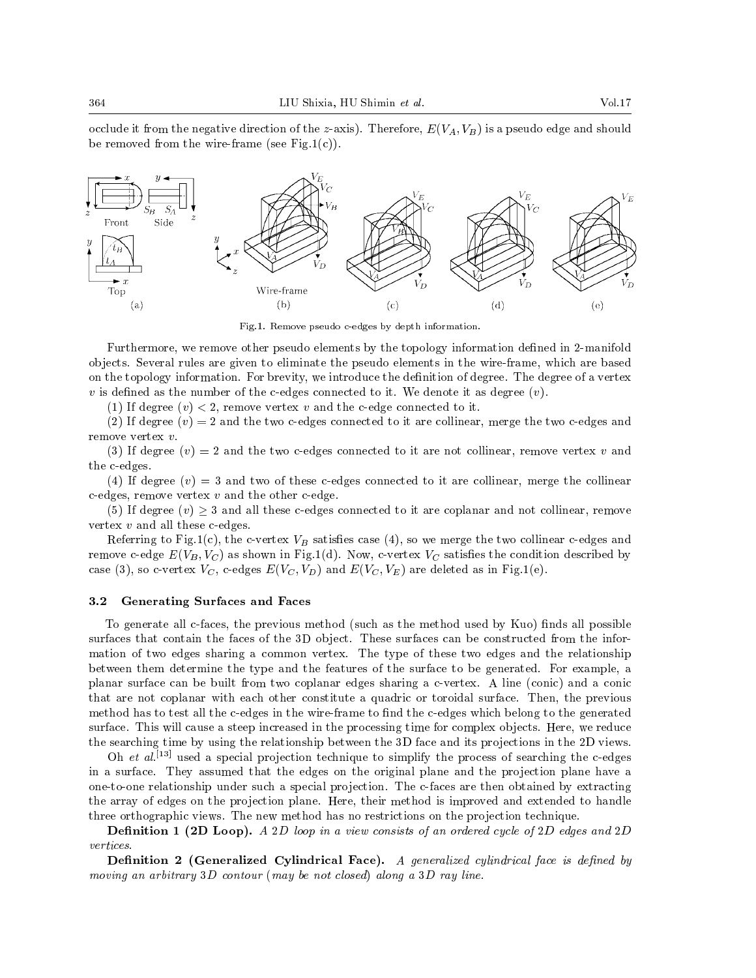occlude it from the negative direction of the z-axis). Therefore,  $E(V_A, V_B)$  is a pseudo edge and should be removed from the wire-frame (see Fig.1(c)).



Fig.1. Remove pseudo c-edges by depth information.

Furthermore, we remove other pseudo elements by the topology information defined in 2-manifold ob jects. Several rules are given to eliminate the pseudo elements in the wire-frame, which are based on the topology information. For brevity, we introduce the denition of degree. The degree of a vertex  $v$  is defined as the number of the c-edges connected to it. We denote it as degree  $(v)$ .

(1) If degree  $(v) < 2$ , remove vertex v and the c-edge connected to it.

(2) If degree  $(v) = 2$  and the two c-edges connected to it are collinear, merge the two c-edges and remove vertex v.

(3) If degree  $(v) = 2$  and the two c-edges connected to it are not collinear, remove vertex v and the c-edges.

(4) If degree  $(v) = 3$  and two of these c-edges connected to it are collinear, merge the collinear c-edges, remove vertex  $v$  and the other c-edge.

(5) If degree  $(v) \geq 3$  and all these c-edges connected to it are coplanar and not collinear, remove vertex <sup>v</sup> and all these c-edges.

Referring to Fig.1(c), the c-vertex  $V_B$  satisfies case (4), so we merge the two collinear c-edges and remove c-edge  $E(V_B, V_C)$  as shown in Fig.1(d). Now, c-vertex  $V_C$  satisfies the condition described by case (3), so c-vertex  $V_C$ , c-edges  $E(V_C, V_D)$  and  $E(V_C, V_E)$  are deleted as in Fig.1(e).

#### 3.2 Generating Surfaces and Faces

To generate all c-faces, the previous method (such as the method used by Kuo) finds all possible surfaces that contain the faces of the 3D object. These surfaces can be constructed from the information of two edges sharing a common vertex. The type of these two edges and the relationship between them determine the type and the features of the surface to be generated. For example, a planar surface can be built from two coplanar edges sharing a c-vertex. A line (conic) and a conic that are not coplanar with each other constitute a quadric or toroidal surface. Then, the previous method has to test all the c-edges in the wire-frame to find the c-edges which belong to the generated surface. This will cause a steep increased in the processing time for complex objects. Here, we reduce the searching time by using the relationship between the 3D face and its projections in the 2D views.

Oh et al. [13] used a special pro jection technique to simplify the process ofsearching the c-edges in a surface. They assumed that the edges on the original plane and the projection plane have a one-to-one relationship under such a special projection. The c-faces are then obtained by extracting the array of edges on the projection plane. Here, their method is improved and extended to handle three orthographic views. The new method has no restrictions on the projection technique.

**Definition 1 (2D Loop).** A 2D loop in a view consists of an ordered cycle of 2D edges and 2D vertices.

Definition 2 (Generalized Cylindrical Face). A generalized cylindrical face is defined by moving an arbitrary  $3D$  contour (may be not closed) along a  $3D$  ray line.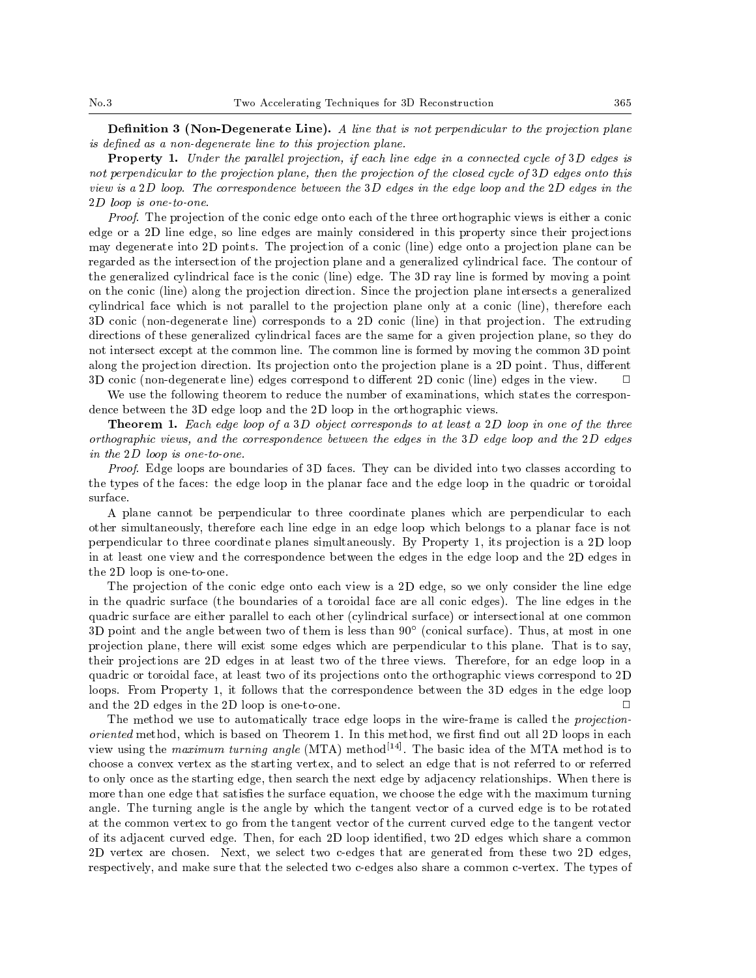**Definition 3 (Non-Degenerate Line).** A line that is not perpendicular to the projection plane is defined as a non-degenerate line to this projection plane.

**Property 1.** Under the parallel projection, if each line edge in a connected cycle of  $3D$  edges is not perpendicular to the projection plane, then the projection of the closed cycle of 3<sup>D</sup> edges onto this view is a2D loop. The correspondence between the 3D edges in the edge loop and the 2D edges in the 2<sup>D</sup> loop is one-to-one.

Proof. The projection of the conic edge onto each of the three orthographic views is either a conic edge or a 2D line edge, so line edges are mainly considered in this property since their projections may degenerate into 2D points. The projection of a conic (line) edge onto a projection plane can be regarded as the intersection of the projection plane and a generalized cylindrical face. The contour of the generalized cylindrical face is the conic (line) edge. The 3D ray line is formed by moving a point on the conic (line) along the projection direction. Since the projection plane intersects a generalized cylindrical face which is not parallel to the projection plane only at a conic (line), therefore each 3D conic (non-degenerate line) corresponds to a 2D conic (line) in that pro jection. The extruding directions of these generalized cylindrical faces are the same for a given projection plane, so they do not intersect except at the common line. The common line is formed by moving the common 3D point along the projection direction. Its projection onto the projection plane is a 2D point. Thus, different 3D conic (non-degenerate line) edges correspond to different 2D conic (line) edges in the view. П

We use the following theorem to reduce the number of examinations, which states the correspondence between the 3D edge loop and the 2D loop in the orthographic views.

**Theorem 1.** Each edge loop of a 3D object corresponds to at least a 2D loop in one of the three orthographic views, and the correspondence between the edges in the 3D edge loop and the 2D edges in the 2<sup>D</sup> loop is one-to-one.

Proof. Edge loops are boundaries of 3D faces. They can be divided into two classes according to the types of the faces: the edge loop in the planar face and the edge loop in the quadric or toroidal surface.

A plane cannot be perpendicular to three coordinate planes which are perpendicular to each other simultaneously, therefore each line edge in an edge loop which belongs to a planar face is not perpendicular to three coordinate planes simultaneously. By Property 1, its projection is a 2D loop in at least one view and the correspondence between the edges in the edge loop and the 2D edges in the 2D loop is one-to-one.

The projection of the conic edge onto each view is a 2D edge, so we only consider the line edge in the quadric surface (the boundaries of a toroidal face are all conic edges). The line edges in the quadric surface are either parallel to each other (cylindrical surface) or intersectional at one common 3D point and the angle between two of them is less than 90 (conical surface). Thus, at most in one projection plane, there will exist some edges which are perpendicular to this plane. That is to say, their projections are 2D edges in at least two of the three views. Therefore, for an edge loop in a quadric or toroidal face, at least two of its projections onto the orthographic views correspond to 2D loops. From Property 1, it follows that the correspondence between the 3D edges in the edge loop and the 2D edges in the 2D loop is one-to-one.  $\Box$ 

The method we use to automatically trace edge loops in the wire-frame is called the projectionoriented method, which is based on Theorem 1. In this method, we first find out all 2D loops in each view using the *maximum turning angle* (MTA) method<sup>[14]</sup>. The basic idea of the MTA method is to choose a convex vertex as the starting vertex, and to select an edge that is not referred to or referred to only once as the starting edge, then search the next edge by adjacency relationships. When there is more than one edge that satisfies the surface equation, we choose the edge with the maximum turning angle. The turning angle is the angle by which the tangent vector of a curved edge is to be rotated at the common vertex to go from the tangent vector of the current curved edge to the tangent vector of its adjacent curved edge. Then, for each 2D loop identied, two 2D edges which share a common 2D vertex are chosen. Next, we select two c-edges that are generated from these two 2D edges, respectively, and make sure that the selected two c-edges also share a common c-vertex. The types of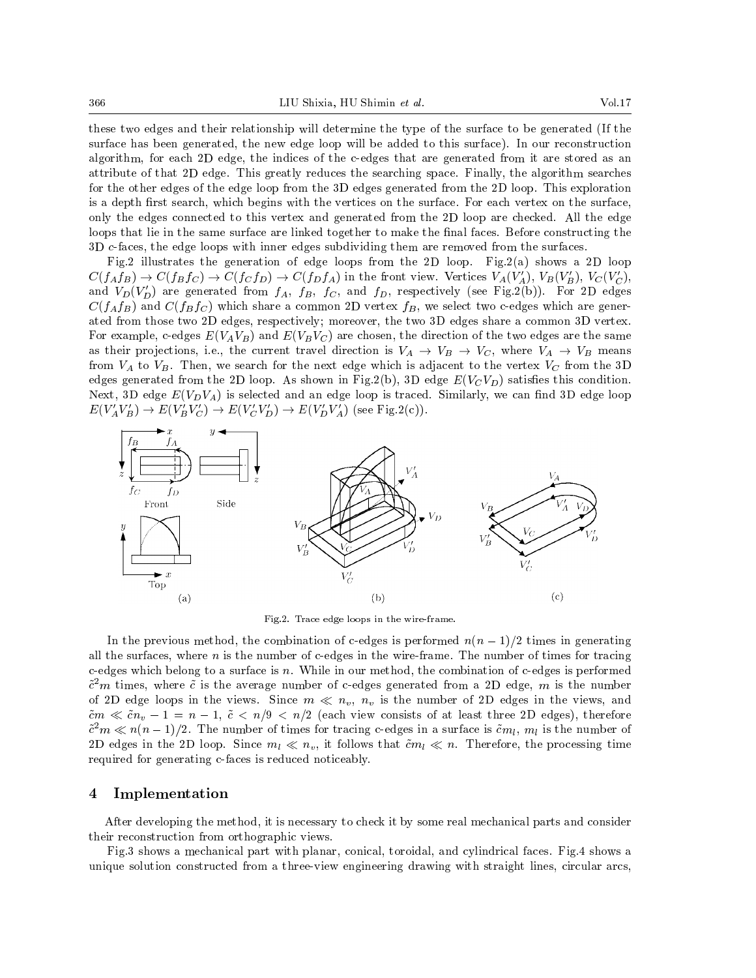these two edges and their relationship will determine the type of the surface to be generated (If the surface has been generated, the new edge loop will be added to this surface). In our reconstruction algorithm, for each 2D edge, the indices of the c-edges that are generated from it are stored as an attribute of that 2D edge. This greatly reduces the searching space. Finally, the algorithm searches for the other edges of the edge loop from the 3D edges generated from the 2D loop. This exploration is a depth first search, which begins with the vertices on the surface. For each vertex on the surface, only the edges connected to this vertex and generated from the 2D loop are checked. All the edge loops that lie in the same surface are linked together to make the final faces. Before constructing the 3D c-faces, the edge loops with inner edges subdividing them are removed from the surfaces.

Fig.2 illustrates the generation of edge loops from the 2D loop. Fig.2(a) shows a 2D loop  $C(f_Af_B) \to C(f_Bf_C) \to C(f_Cf_D) \to C(f_Df_A)$  in the front view. Vertices  $V_A(V_A'), V_B(V_B'), V_C(V_C'),$ and  $V_D(V_D')$  are generated from  $f_A$ ,  $f_B$ ,  $f_C$ , and  $f_D$ , respectively (see Fig.2(b)). For 2D edges  $C(f_A f_B)$  and  $C(f_B f_C)$  which share a common 2D vertex  $f_B$ , we select two c-edges which are generated from those two 2D edges, respectively; moreover, the two 3D edges share a common 3D vertex. For example, c-edges  $E(V_AV_B)$  and  $E(V_BV_C)$  are chosen, the direction of the two edges are the same as their projections, i.e., the current travel direction is  $V_A \rightarrow V_B \rightarrow V_C$ , where  $V_A \rightarrow V_B$  means from  $V_A$  to  $V_B$ . Then, we search for the next edge which is adjacent to the vertex  $V_C$  from the 3D edges generated from the 2D loop. As shown in Fig.2(b), 3D edge  $E(V_CV_D)$  satisfies this condition. Next, 3D edge  $E(V_D V_A)$  is selected and an edge loop is traced. Similarly, we can find 3D edge loop  $E(V_A' V_B') \to E(V_B' V_C') \to E(V_C' V_D') \to E(V_D' V_A')$  (see Fig.2(c)).



Fig.2. Trace edge loops in the wire-frame.

In the previous method, the combination of c-edges is performed  $n(n-1)/2$  times in generating all the surfaces, where  $n$  is the number of c-edges in the wire-frame. The number of times for tracing c-edges which belong to a surface is n. While in our method, the combination of c-edges is performed  $\tilde{c}^2m$  times, where  $\tilde{c}$  is the average number of c-edges generated from a 2D edge, m is the number of 2D edge loops in the views. Since  $m \ll n_v$ ,  $n_v$  is the number of 2D edges in the views, and cm and the state of the state of at least the construction of at least the construction of attention of at least the  $\alpha$  $c^{-}m \ll n(n-1)/2$ . The number of times for tracing c-edges in a surface is  $cm_l, m_l$  is the number of 2D edges in the 2D loop. Since  $m_l \ll n_v$ , it follows that  $\tilde{c}m_l \ll n$ . Therefore, the processing time required for generating c-faces is reduced noticeably.

## 4 Implementation

After developing the method, it is necessary to check it by some real mechanical parts and consider their reconstruction from orthographic views.

Fig.3 shows a mechanical part with planar, conical, toroidal, and cylindrical faces. Fig.4 shows a unique solution constructed from a three-view engineering drawing with straight lines, circular arcs,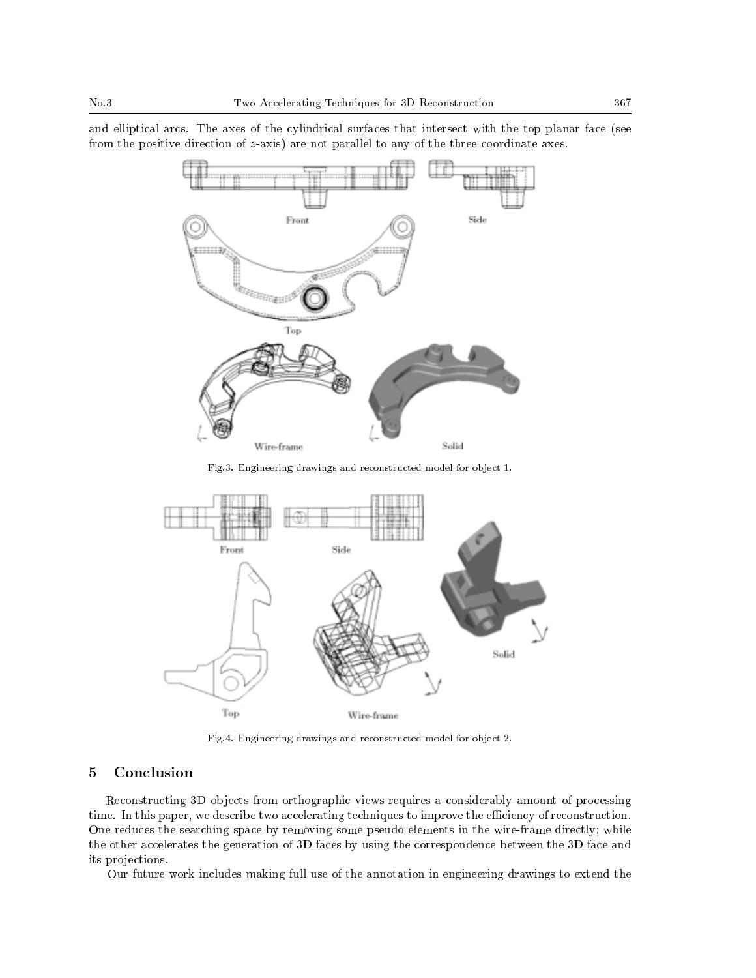and elliptical arcs. The axes of the cylindrical surfaces that intersect with the top planar face (see from the positive direction of z-axis) are not parallel to any of the three coordinate axes.



Fig.3. Engineering drawings and reconstructed model for object 1.



Fig.4. Engineering drawings and reconstructed model for object 2.

## 5 Conclusion

Reconstructing 3D objects from orthographic views requires a considerably amount of processing time. In this paper, we describe two accelerating techniques to improve the efficiency of reconstruction. One reduces the searching space by removing some pseudo elements in the wire-frame directly; while the other accelerates the generation of 3D faces by using the correspondence between the 3D face and its projections.

Our future work includes making full use of the annotation in engineering drawings to extend the